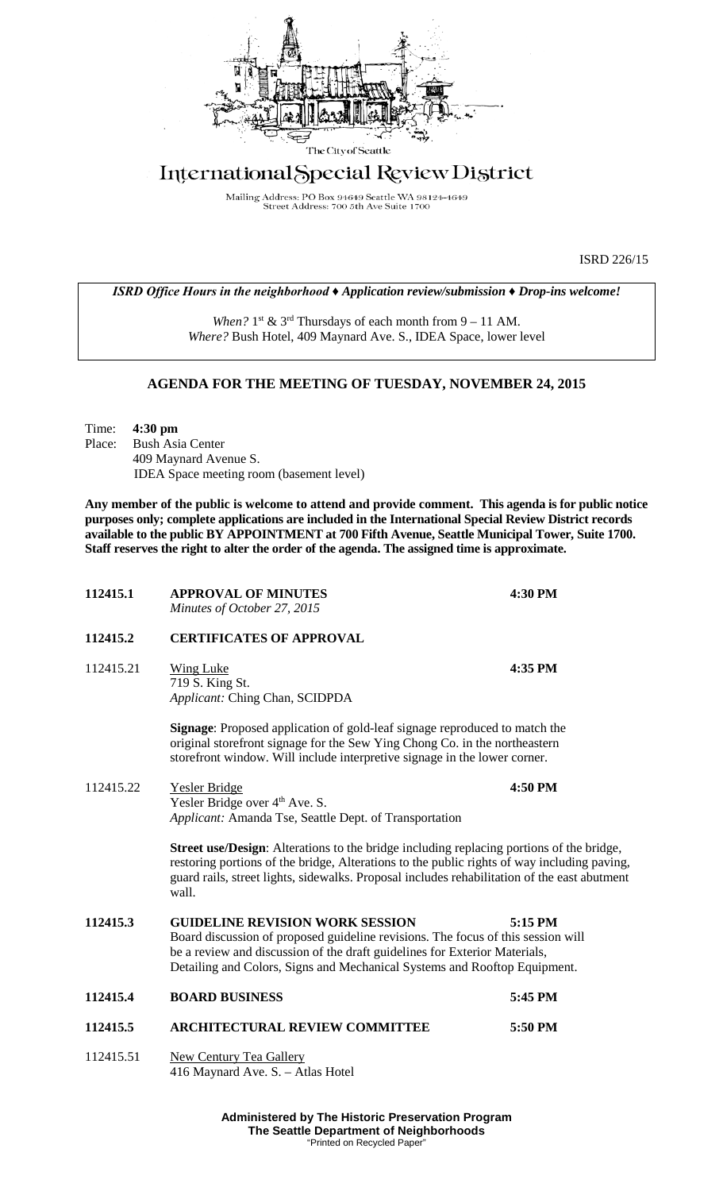

# International Special Review District

Mailing Address: PO Box 94649 Seattle WA 98124-4649<br>Street Address: 700 5th Ave Suite 1700

ISRD 226/15

## *ISRD Office Hours in the neighborhood ♦ Application review/submission ♦ Drop-ins welcome!*

*When?*  $1^{st}$  &  $3^{rd}$  Thursdays of each month from  $9 - 11$  AM. *Where?* Bush Hotel, 409 Maynard Ave. S., IDEA Space, lower level

## **AGENDA FOR THE MEETING OF TUESDAY, NOVEMBER 24, 2015**

Time: **4:30 pm** Place: Bush Asia Center 409 Maynard Avenue S. IDEA Space meeting room (basement level)

**Any member of the public is welcome to attend and provide comment. This agenda is for public notice purposes only; complete applications are included in the International Special Review District records available to the public BY APPOINTMENT at 700 Fifth Avenue, Seattle Municipal Tower, Suite 1700. Staff reserves the right to alter the order of the agenda. The assigned time is approximate.** 

| 112415.1  | <b>APPROVAL OF MINUTES</b><br>Minutes of October 27, 2015                                                                                                                                                                                                                                               | 4:30 PM |
|-----------|---------------------------------------------------------------------------------------------------------------------------------------------------------------------------------------------------------------------------------------------------------------------------------------------------------|---------|
| 112415.2  | <b>CERTIFICATES OF APPROVAL</b>                                                                                                                                                                                                                                                                         |         |
| 112415.21 | Wing Luke<br>719 S. King St.<br>Applicant: Ching Chan, SCIDPDA                                                                                                                                                                                                                                          | 4:35 PM |
|           | <b>Signage:</b> Proposed application of gold-leaf signage reproduced to match the<br>original storefront signage for the Sew Ying Chong Co. in the northeastern<br>storefront window. Will include interpretive signage in the lower corner.                                                            |         |
| 112415.22 | Yesler Bridge<br>Yesler Bridge over 4 <sup>th</sup> Ave. S.<br>Applicant: Amanda Tse, Seattle Dept. of Transportation                                                                                                                                                                                   | 4:50 PM |
|           | <b>Street use/Design:</b> Alterations to the bridge including replacing portions of the bridge,<br>restoring portions of the bridge, Alterations to the public rights of way including paving,<br>guard rails, street lights, sidewalks. Proposal includes rehabilitation of the east abutment<br>wall. |         |
| 112415.3  | <b>GUIDELINE REVISION WORK SESSION</b><br>5:15 PM<br>Board discussion of proposed guideline revisions. The focus of this session will<br>be a review and discussion of the draft guidelines for Exterior Materials,<br>Detailing and Colors, Signs and Mechanical Systems and Rooftop Equipment.        |         |
| 112415.4  | <b>BOARD BUSINESS</b>                                                                                                                                                                                                                                                                                   | 5:45 PM |
| 112415.5  | <b>ARCHITECTURAL REVIEW COMMITTEE</b>                                                                                                                                                                                                                                                                   | 5:50 PM |
| 112415.51 | <b>New Century Tea Gallery</b><br>416 Maynard Ave. S. - Atlas Hotel                                                                                                                                                                                                                                     |         |